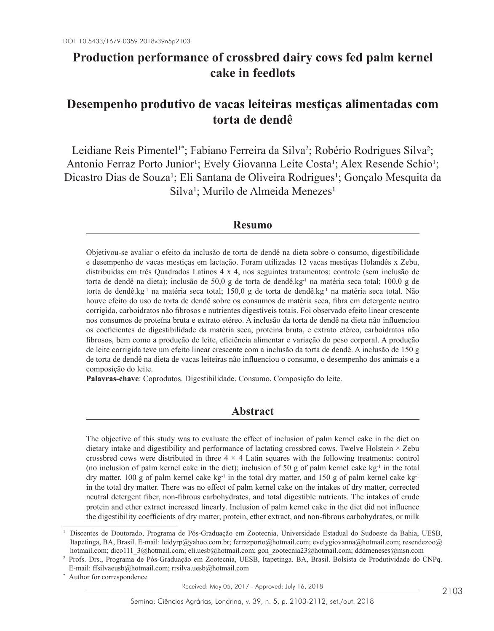# **Production performance of crossbred dairy cows fed palm kernel cake in feedlots**

## **Desempenho produtivo de vacas leiteiras mestiças alimentadas com torta de dendê**

Leidiane Reis Pimentel<sup>1\*</sup>; Fabiano Ferreira da Silva<sup>2</sup>; Robério Rodrigues Silva<sup>2</sup>; Antonio Ferraz Porto Junior<sup>1</sup>; Evely Giovanna Leite Costa<sup>1</sup>; Alex Resende Schio<sup>1</sup>; Dicastro Dias de Souza<sup>1</sup>; Eli Santana de Oliveira Rodrigues<sup>1</sup>; Gonçalo Mesquita da Silva<sup>1</sup>; Murilo de Almeida Menezes<sup>1</sup>

## **Resumo**

Objetivou-se avaliar o efeito da inclusão de torta de dendê na dieta sobre o consumo, digestibilidade e desempenho de vacas mestiças em lactação. Foram utilizadas 12 vacas mestiças Holandês x Zebu, distribuídas em três Quadrados Latinos 4 x 4, nos seguintes tratamentos: controle (sem inclusão de torta de dendê na dieta); inclusão de 50,0 g de torta de dendê.kg<sup>-1</sup> na matéria seca total; 100,0 g de torta de dendê.kg<sup>-1</sup> na matéria seca total; 150,0 g de torta de dendê.kg<sup>-1</sup> na matéria seca total. Não houve efeito do uso de torta de dendê sobre os consumos de matéria seca, fibra em detergente neutro corrigida, carboidratos não fibrosos e nutrientes digestíveis totais. Foi observado efeito linear crescente nos consumos de proteína bruta e extrato etéreo. A inclusão da torta de dendê na dieta não influenciou os coeficientes de digestibilidade da matéria seca, proteína bruta, e extrato etéreo, carboidratos não fibrosos, bem como a produção de leite, eficiência alimentar e variação do peso corporal. A produção de leite corrigida teve um efeito linear crescente com a inclusão da torta de dendê. A inclusão de 150 g de torta de dendê na dieta de vacas leiteiras não influenciou o consumo, o desempenho dos animais e a composição do leite.

**Palavras-chave**: Coprodutos. Digestibilidade. Consumo. Composição do leite.

### **Abstract**

The objective of this study was to evaluate the effect of inclusion of palm kernel cake in the diet on dietary intake and digestibility and performance of lactating crossbred cows. Twelve Holstein × Zebu crossbred cows were distributed in three  $4 \times 4$  Latin squares with the following treatments: control (no inclusion of palm kernel cake in the diet); inclusion of 50 g of palm kernel cake  $kg^{-1}$  in the total dry matter, 100 g of palm kernel cake  $kg<sup>-1</sup>$  in the total dry matter, and 150 g of palm kernel cake kg<sup>-1</sup> in the total dry matter. There was no effect of palm kernel cake on the intakes of dry matter, corrected neutral detergent fiber, non-fibrous carbohydrates, and total digestible nutrients. The intakes of crude protein and ether extract increased linearly. Inclusion of palm kernel cake in the diet did not influence the digestibility coefficients of dry matter, protein, ether extract, and non-fibrous carbohydrates, or milk

Author for correspondence

<sup>1</sup> Discentes de Doutorado, Programa de Pós-Graduação em Zootecnia, Universidade Estadual do Sudoeste da Bahia, UESB, Itapetinga, BA, Brasil. E-mail: leidyrp@yahoo.com.br; ferrazporto@hotmail.com; evelygiovanna@hotmail.com; resendezoo@ hotmail.com; dico111\_3@hotmail.com; eli.uesb@hotmail.com; gon\_zootecnia23@hotmail.com; dddmeneses@msn.com

<sup>2</sup> Profs. Drs., Programa de Pós-Graduação em Zootecnia, UESB, Itapetinga. BA, Brasil. Bolsista de Produtividade do CNPq. E-mail: ffsilvaeusb@hotmail.com; rrsilva.uesb@hotmail.com

Received: May 05, 2017 - Approved: July 16, 2018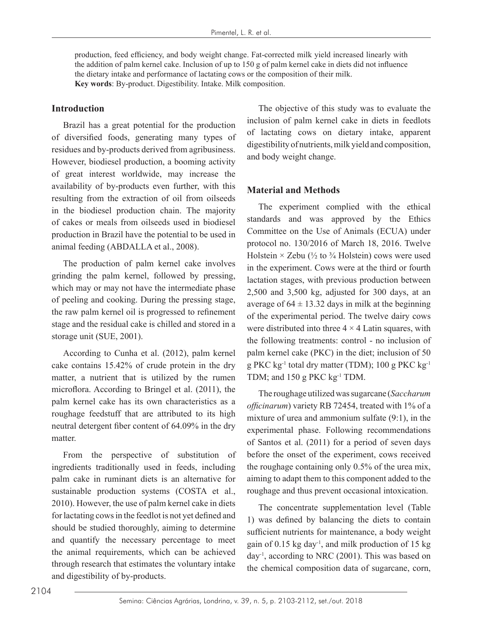production, feed efficiency, and body weight change. Fat-corrected milk yield increased linearly with the addition of palm kernel cake. Inclusion of up to 150 g of palm kernel cake in diets did not influence the dietary intake and performance of lactating cows or the composition of their milk. **Key words**: By-product. Digestibility. Intake. Milk composition.

#### **Introduction**

Brazil has a great potential for the production of diversified foods, generating many types of residues and by-products derived from agribusiness. However, biodiesel production, a booming activity of great interest worldwide, may increase the availability of by-products even further, with this resulting from the extraction of oil from oilseeds in the biodiesel production chain. The majority of cakes or meals from oilseeds used in biodiesel production in Brazil have the potential to be used in animal feeding (ABDALLA et al., 2008).

The production of palm kernel cake involves grinding the palm kernel, followed by pressing, which may or may not have the intermediate phase of peeling and cooking. During the pressing stage, the raw palm kernel oil is progressed to refinement stage and the residual cake is chilled and stored in a storage unit (SUE, 2001).

According to Cunha et al. (2012), palm kernel cake contains 15.42% of crude protein in the dry matter, a nutrient that is utilized by the rumen microflora. According to Bringel et al. (2011), the palm kernel cake has its own characteristics as a roughage feedstuff that are attributed to its high neutral detergent fiber content of 64.09% in the dry matter.

From the perspective of substitution of ingredients traditionally used in feeds, including palm cake in ruminant diets is an alternative for sustainable production systems (COSTA et al., 2010). However, the use of palm kernel cake in diets for lactating cows in the feedlot is not yet defined and should be studied thoroughly, aiming to determine and quantify the necessary percentage to meet the animal requirements, which can be achieved through research that estimates the voluntary intake and digestibility of by-products.

The objective of this study was to evaluate the inclusion of palm kernel cake in diets in feedlots of lactating cows on dietary intake, apparent digestibility of nutrients, milk yield and composition, and body weight change.

#### **Material and Methods**

The experiment complied with the ethical standards and was approved by the Ethics Committee on the Use of Animals (ECUA) under protocol no. 130/2016 of March 18, 2016. Twelve Holstein  $\times$  Zebu ( $\frac{1}{2}$  to  $\frac{3}{4}$  Holstein) cows were used in the experiment. Cows were at the third or fourth lactation stages, with previous production between 2,500 and 3,500 kg, adjusted for 300 days, at an average of  $64 \pm 13.32$  days in milk at the beginning of the experimental period. The twelve dairy cows were distributed into three  $4 \times 4$  Latin squares, with the following treatments: control - no inclusion of palm kernel cake (PKC) in the diet; inclusion of 50 g PKC kg-1 total dry matter (TDM); 100 g PKC kg-1 TDM; and 150 g PKC kg<sup>-1</sup> TDM.

The roughage utilized was sugarcane (*Saccharum officinarum*) variety RB 72454, treated with 1% of a mixture of urea and ammonium sulfate (9:1), in the experimental phase. Following recommendations of Santos et al. (2011) for a period of seven days before the onset of the experiment, cows received the roughage containing only 0.5% of the urea mix, aiming to adapt them to this component added to the roughage and thus prevent occasional intoxication.

The concentrate supplementation level (Table 1) was defined by balancing the diets to contain sufficient nutrients for maintenance, a body weight gain of  $0.15$  kg day<sup>-1</sup>, and milk production of  $15$  kg day-1, according to NRC (2001). This was based on the chemical composition data of sugarcane, corn,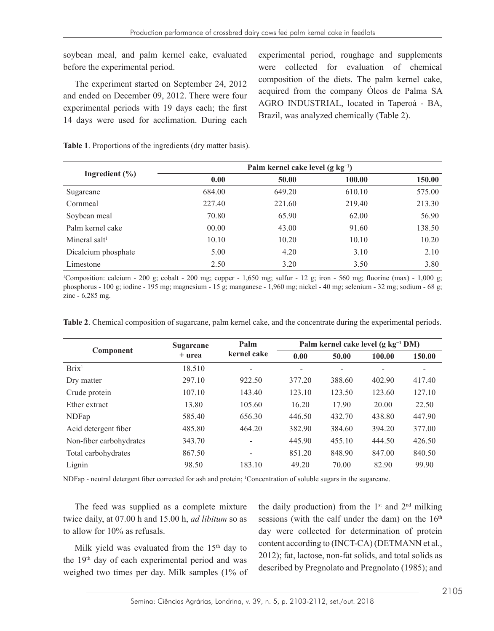soybean meal, and palm kernel cake, evaluated before the experimental period.

The experiment started on September 24, 2012 and ended on December 09, 2012. There were four experimental periods with 19 days each; the first 14 days were used for acclimation. During each experimental period, roughage and supplements were collected for evaluation of chemical composition of the diets. The palm kernel cake, acquired from the company Óleos de Palma SA AGRO INDUSTRIAL, located in Taperoá - BA, Brazil, was analyzed chemically (Table 2).

|                     | Palm kernel cake level $(g \text{ kg}^{-1})$ |        |        |        |  |  |  |  |
|---------------------|----------------------------------------------|--------|--------|--------|--|--|--|--|
| Ingredient $(\% )$  | 0.00                                         | 50.00  | 100.00 | 150.00 |  |  |  |  |
| Sugarcane           | 684.00                                       | 649.20 | 610.10 | 575.00 |  |  |  |  |
| Cornmeal            | 227.40                                       | 221.60 | 219.40 | 213.30 |  |  |  |  |
| Soybean meal        | 70.80                                        | 65.90  | 62.00  | 56.90  |  |  |  |  |
| Palm kernel cake    | 00.00                                        | 43.00  | 91.60  | 138.50 |  |  |  |  |
| Mineral salt $l$    | 10.10                                        | 10.20  | 10.10  | 10.20  |  |  |  |  |
| Dicalcium phosphate | 5.00                                         | 4.20   | 3.10   | 2.10   |  |  |  |  |
| Limestone           | 2.50                                         | 3.20   | 3.50   | 3.80   |  |  |  |  |

**Table 1**. Proportions of the ingredients (dry matter basis).

1 Composition: calcium - 200 g; cobalt - 200 mg; copper - 1,650 mg; sulfur - 12 g; iron - 560 mg; fluorine (max) - 1,000 g; phosphorus - 100 g; iodine - 195 mg; magnesium - 15 g; manganese - 1,960 mg; nickel - 40 mg; selenium - 32 mg; sodium - 68 g; zinc - 6,285 mg.

|  |  | Table 2. Chemical composition of sugarcane, palm kernel cake, and the concentrate during the experimental periods. |  |  |
|--|--|--------------------------------------------------------------------------------------------------------------------|--|--|
|  |  |                                                                                                                    |  |  |

|                         | <b>Sugarcane</b> | Palm        | Palm kernel cake level (g kg <sup>-1</sup> DM) |        |        |        |  |  |
|-------------------------|------------------|-------------|------------------------------------------------|--------|--------|--------|--|--|
| Component               | + urea           | kernel cake | 0.00                                           | 50.00  | 100.00 | 150.00 |  |  |
| Brix <sup>1</sup>       | 18.510           | ۰           | ۰                                              |        |        |        |  |  |
| Dry matter              | 297.10           | 922.50      | 377.20                                         | 388.60 | 402.90 | 417.40 |  |  |
| Crude protein           | 107.10           | 143.40      | 123.10                                         | 123.50 | 123.60 | 127.10 |  |  |
| Ether extract           | 13.80            | 105.60      | 16.20                                          | 17.90  | 20.00  | 22.50  |  |  |
| <b>NDFap</b>            | 585.40           | 656.30      | 446.50                                         | 432.70 | 438.80 | 447.90 |  |  |
| Acid detergent fiber    | 485.80           | 464.20      | 382.90                                         | 384.60 | 394.20 | 377.00 |  |  |
| Non-fiber carbohydrates | 343.70           | ۰           | 445.90                                         | 455.10 | 444.50 | 426.50 |  |  |
| Total carbohydrates     | 867.50           | -           | 851.20                                         | 848.90 | 847.00 | 840.50 |  |  |
| Lignin                  | 98.50            | 183.10      | 49.20                                          | 70.00  | 82.90  | 99.90  |  |  |

NDFap - neutral detergent fiber corrected for ash and protein; <sup>1</sup> Concentration of soluble sugars in the sugarcane.

The feed was supplied as a complete mixture twice daily, at 07.00 h and 15.00 h, *ad libitum* so as to allow for 10% as refusals.

Milk yield was evaluated from the  $15<sup>th</sup>$  day to the 19<sup>th</sup> day of each experimental period and was weighed two times per day. Milk samples (1% of the daily production) from the  $1<sup>st</sup>$  and  $2<sup>nd</sup>$  milking sessions (with the calf under the dam) on the  $16<sup>th</sup>$ day were collected for determination of protein content according to (INCT-CA) (DETMANN et al., 2012); fat, lactose, non-fat solids, and total solids as described by Pregnolato and Pregnolato (1985); and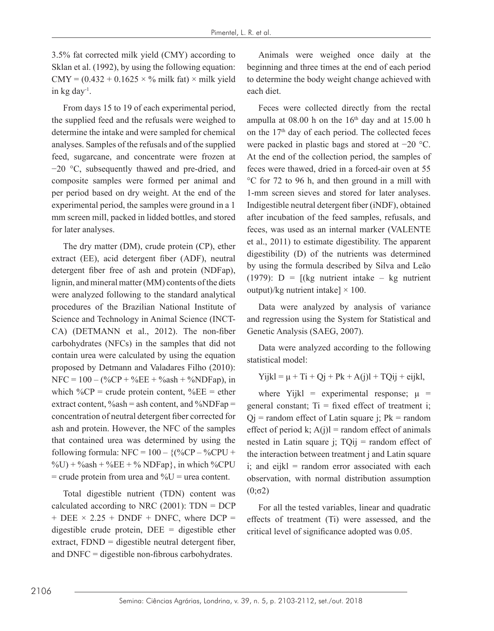3.5% fat corrected milk yield (CMY) according to Sklan et al. (1992), by using the following equation:  $CMY = (0.432 + 0.1625 \times \%$  milk fat) × milk yield in kg day-1.

From days 15 to 19 of each experimental period, the supplied feed and the refusals were weighed to determine the intake and were sampled for chemical analyses. Samples of the refusals and of the supplied feed, sugarcane, and concentrate were frozen at −20 °C, subsequently thawed and pre-dried, and composite samples were formed per animal and per period based on dry weight. At the end of the experimental period, the samples were ground in a 1 mm screen mill, packed in lidded bottles, and stored for later analyses.

The dry matter (DM), crude protein (CP), ether extract (EE), acid detergent fiber (ADF), neutral detergent fiber free of ash and protein (NDFap), lignin, and mineral matter (MM) contents of the diets were analyzed following to the standard analytical procedures of the Brazilian National Institute of Science and Technology in Animal Science (INCT-CA) (DETMANN et al., 2012). The non-fiber carbohydrates (NFCs) in the samples that did not contain urea were calculated by using the equation proposed by Detmann and Valadares Filho (2010):  $NFC = 100 - (\%CP + \%EE + \%ash + \%NDFap)$ , in which  $\%CP = \text{crude protein content}, \%EE = \text{ether}$ extract content,  $\%$ ash = ash content, and  $\%$ NDFap = concentration of neutral detergent fiber corrected for ash and protein. However, the NFC of the samples that contained urea was determined by using the following formula: NFC =  $100 - \frac{96}{C}P - \frac{96}{C}PU +$  $\%$ U) +  $\%$ ash +  $\%$ EE +  $\%$  NDFap}, in which  $\%$ CPU  $=$  crude protein from urea and  $\%$ U  $=$  urea content.

Total digestible nutrient (TDN) content was calculated according to NRC  $(2001)$ : TDN = DCP  $+$  DEE  $\times$  2.25 + DNDF + DNFC, where DCP = digestible crude protein,  $DEE =$  digestible ether extract, FDND = digestible neutral detergent fiber, and DNFC = digestible non-fibrous carbohydrates.

Animals were weighed once daily at the beginning and three times at the end of each period to determine the body weight change achieved with each diet.

Feces were collected directly from the rectal ampulla at  $08.00$  h on the  $16<sup>th</sup>$  day and at  $15.00$  h on the 17th day of each period. The collected feces were packed in plastic bags and stored at −20 °C. At the end of the collection period, the samples of feces were thawed, dried in a forced-air oven at 55 °C for 72 to 96 h, and then ground in a mill with 1-mm screen sieves and stored for later analyses. Indigestible neutral detergent fiber (iNDF), obtained after incubation of the feed samples, refusals, and feces, was used as an internal marker (VALENTE et al., 2011) to estimate digestibility. The apparent digestibility (D) of the nutrients was determined by using the formula described by Silva and Leão (1979):  $D = [(kg \text{ nutrient intake} - kg \text{ nutrient})]$ output)/kg nutrient intake]  $\times$  100.

Data were analyzed by analysis of variance and regression using the System for Statistical and Genetic Analysis (SAEG, 2007).

Data were analyzed according to the following statistical model:

 $Yijkl = \mu + Ti + Qi + Pk + A(i)l + TOij + eijkl,$ 

where Yijkl = experimental response;  $\mu$  = general constant;  $Ti = fixed$  effect of treatment i;  $Qj$  = random effect of Latin square j; Pk = random effect of period k;  $A(i)$ l = random effect of animals nested in Latin square  $i$ ; TO $ii$  = random effect of the interaction between treatment j and Latin square  $i$ ; and eijkl = random error associated with each observation, with normal distribution assumption  $(0;σ2)$ 

For all the tested variables, linear and quadratic effects of treatment (Ti) were assessed, and the critical level of significance adopted was 0.05.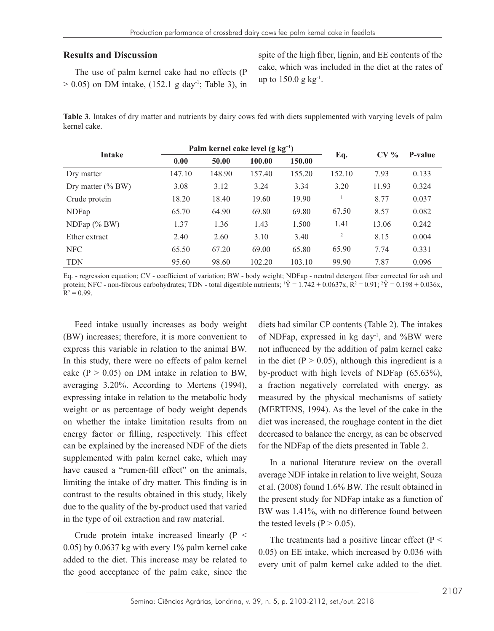#### **Results and Discussion**

The use of palm kernel cake had no effects (P  $> 0.05$ ) on DM intake, (152.1 g day<sup>-1</sup>; Table 3), in spite of the high fiber, lignin, and EE contents of the cake, which was included in the diet at the rates of up to  $150.0 \text{ g kg}^{-1}$ .

**Table 3**. Intakes of dry matter and nutrients by dairy cows fed with diets supplemented with varying levels of palm kernel cake.

|                      |        |        | Palm kernel cake level $(g \text{ kg}^{-1})$ |        |                | P-value |       |  |
|----------------------|--------|--------|----------------------------------------------|--------|----------------|---------|-------|--|
| <b>Intake</b>        | 0.00   | 50.00  | 100.00                                       | 150.00 | Eq.            | $CV\%$  |       |  |
| Dry matter           | 147.10 | 148.90 | 157.40                                       | 155.20 | 152.10         | 7.93    | 0.133 |  |
| Dry matter $(\%$ BW) | 3.08   | 3.12   | 3.24                                         | 3.34   | 3.20           | 11.93   | 0.324 |  |
| Crude protein        | 18.20  | 18.40  | 19.60                                        | 19.90  |                | 8.77    | 0.037 |  |
| NDFap                | 65.70  | 64.90  | 69.80                                        | 69.80  | 67.50          | 8.57    | 0.082 |  |
| $NDFap$ (% BW)       | 1.37   | 1.36   | 1.43                                         | 1.500  | 1.41           | 13.06   | 0.242 |  |
| Ether extract        | 2.40   | 2.60   | 3.10                                         | 3.40   | $\overline{c}$ | 8.15    | 0.004 |  |
| <b>NFC</b>           | 65.50  | 67.20  | 69.00                                        | 65.80  | 65.90          | 7.74    | 0.331 |  |
| <b>TDN</b>           | 95.60  | 98.60  | 102.20                                       | 103.10 | 99.90          | 7.87    | 0.096 |  |

Eq. - regression equation; CV - coefficient of variation; BW - body weight; NDFap - neutral detergent fiber corrected for ash and protein; NFC - non-fibrous carbohydrates; TDN - total digestible nutrients;  $Y = 1.742 + 0.0637x$ ,  $R^2 = 0.91$ ;  $Y = 0.198 + 0.036x$ ,  $R^2 = 0.99$ .

Feed intake usually increases as body weight (BW) increases; therefore, it is more convenient to express this variable in relation to the animal BW. In this study, there were no effects of palm kernel cake ( $P > 0.05$ ) on DM intake in relation to BW, averaging 3.20%. According to Mertens (1994), expressing intake in relation to the metabolic body weight or as percentage of body weight depends on whether the intake limitation results from an energy factor or filling, respectively. This effect can be explained by the increased NDF of the diets supplemented with palm kernel cake, which may have caused a "rumen-fill effect" on the animals, limiting the intake of dry matter. This finding is in contrast to the results obtained in this study, likely due to the quality of the by-product used that varied in the type of oil extraction and raw material.

Crude protein intake increased linearly (P < 0.05) by 0.0637 kg with every 1% palm kernel cake added to the diet. This increase may be related to the good acceptance of the palm cake, since the diets had similar CP contents (Table 2). The intakes of NDFap, expressed in  $kg \, day^{-1}$ , and %BW were not influenced by the addition of palm kernel cake in the diet ( $P > 0.05$ ), although this ingredient is a by-product with high levels of NDFap (65.63%), a fraction negatively correlated with energy, as measured by the physical mechanisms of satiety (MERTENS, 1994). As the level of the cake in the diet was increased, the roughage content in the diet decreased to balance the energy, as can be observed for the NDFap of the diets presented in Table 2.

In a national literature review on the overall average NDF intake in relation to live weight, Souza et al. (2008) found 1.6% BW. The result obtained in the present study for NDFap intake as a function of BW was 1.41%, with no difference found between the tested levels ( $P > 0.05$ ).

The treatments had a positive linear effect ( $P \le$ 0.05) on EE intake, which increased by 0.036 with every unit of palm kernel cake added to the diet.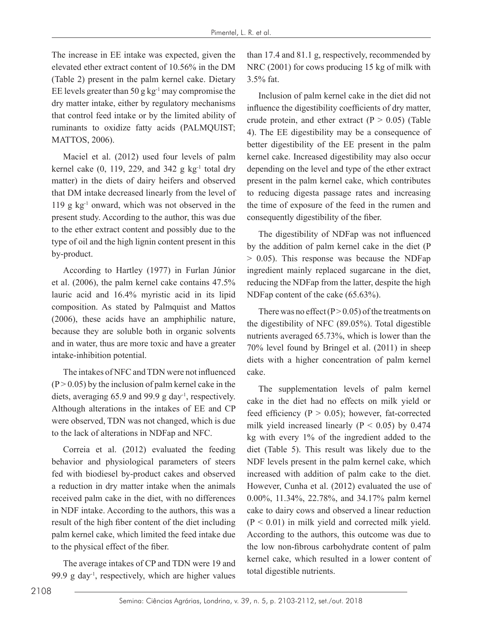The increase in EE intake was expected, given the elevated ether extract content of 10.56% in the DM (Table 2) present in the palm kernel cake. Dietary EE levels greater than 50 g  $kg^{-1}$  may compromise the dry matter intake, either by regulatory mechanisms that control feed intake or by the limited ability of ruminants to oxidize fatty acids (PALMQUIST; MATTOS, 2006).

Maciel et al. (2012) used four levels of palm kernel cake  $(0, 119, 229,$  and  $342$  g kg<sup>-1</sup> total dry matter) in the diets of dairy heifers and observed that DM intake decreased linearly from the level of 119 g kg-1 onward, which was not observed in the present study. According to the author, this was due to the ether extract content and possibly due to the type of oil and the high lignin content present in this by-product.

According to Hartley (1977) in Furlan Júnior et al. (2006), the palm kernel cake contains 47.5% lauric acid and 16.4% myristic acid in its lipid composition. As stated by Palmquist and Mattos (2006), these acids have an amphiphilic nature, because they are soluble both in organic solvents and in water, thus are more toxic and have a greater intake-inhibition potential.

The intakes of NFC and TDN were not influenced  $(P > 0.05)$  by the inclusion of palm kernel cake in the diets, averaging  $65.9$  and  $99.9$  g day<sup>-1</sup>, respectively. Although alterations in the intakes of EE and CP were observed, TDN was not changed, which is due to the lack of alterations in NDFap and NFC.

Correia et al. (2012) evaluated the feeding behavior and physiological parameters of steers fed with biodiesel by-product cakes and observed a reduction in dry matter intake when the animals received palm cake in the diet, with no differences in NDF intake. According to the authors, this was a result of the high fiber content of the diet including palm kernel cake, which limited the feed intake due to the physical effect of the fiber.

The average intakes of CP and TDN were 19 and 99.9 g day<sup>-1</sup>, respectively, which are higher values than 17.4 and 81.1 g, respectively, recommended by NRC (2001) for cows producing 15 kg of milk with 3.5% fat.

Inclusion of palm kernel cake in the diet did not influence the digestibility coefficients of dry matter, crude protein, and ether extract  $(P > 0.05)$  (Table 4). The EE digestibility may be a consequence of better digestibility of the EE present in the palm kernel cake. Increased digestibility may also occur depending on the level and type of the ether extract present in the palm kernel cake, which contributes to reducing digesta passage rates and increasing the time of exposure of the feed in the rumen and consequently digestibility of the fiber.

The digestibility of NDFap was not influenced by the addition of palm kernel cake in the diet (P > 0.05). This response was because the NDFap ingredient mainly replaced sugarcane in the diet, reducing the NDFap from the latter, despite the high NDFap content of the cake (65.63%).

There was no effect ( $P > 0.05$ ) of the treatments on the digestibility of NFC (89.05%). Total digestible nutrients averaged 65.73%, which is lower than the 70% level found by Bringel et al. (2011) in sheep diets with a higher concentration of palm kernel cake.

The supplementation levels of palm kernel cake in the diet had no effects on milk yield or feed efficiency ( $P > 0.05$ ); however, fat-corrected milk yield increased linearly ( $P < 0.05$ ) by 0.474 kg with every 1% of the ingredient added to the diet (Table 5). This result was likely due to the NDF levels present in the palm kernel cake, which increased with addition of palm cake to the diet. However, Cunha et al. (2012) evaluated the use of 0.00%, 11.34%, 22.78%, and 34.17% palm kernel cake to dairy cows and observed a linear reduction  $(P < 0.01)$  in milk yield and corrected milk yield. According to the authors, this outcome was due to the low non-fibrous carbohydrate content of palm kernel cake, which resulted in a lower content of total digestible nutrients.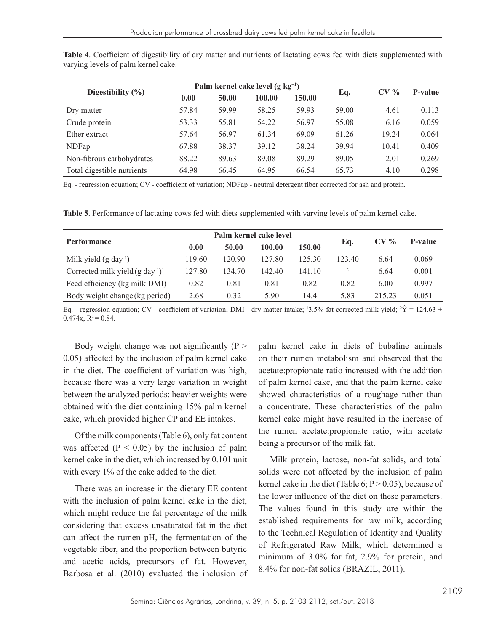| Digestibility $(\% )$      | Palm kernel cake level $(g \ kg^{-1})$ |       |        |        |       | CV <sub>6</sub> | <b>P-value</b> |  |
|----------------------------|----------------------------------------|-------|--------|--------|-------|-----------------|----------------|--|
|                            | 0.00                                   | 50.00 | 100.00 | 150.00 | Eq.   |                 |                |  |
| Dry matter                 | 57.84                                  | 59.99 | 58.25  | 59.93  | 59.00 | 4.61            | 0.113          |  |
| Crude protein              | 53.33                                  | 55.81 | 54.22  | 56.97  | 55.08 | 6.16            | 0.059          |  |
| Ether extract              | 57.64                                  | 56.97 | 61.34  | 69.09  | 61.26 | 19.24           | 0.064          |  |
| NDFap                      | 67.88                                  | 38.37 | 39.12  | 38.24  | 39.94 | 10.41           | 0.409          |  |
| Non-fibrous carbohydrates  | 88.22                                  | 89.63 | 89.08  | 89.29  | 89.05 | 2.01            | 0.269          |  |
| Total digestible nutrients | 64.98                                  | 66.45 | 64.95  | 66.54  | 65.73 | 4.10            | 0.298          |  |

**Table 4**. Coefficient of digestibility of dry matter and nutrients of lactating cows fed with diets supplemented with varying levels of palm kernel cake.

Eq. - regression equation; CV - coefficient of variation; NDFap - neutral detergent fiber corrected for ash and protein.

**Table 5**. Performance of lactating cows fed with diets supplemented with varying levels of palm kernel cake.

|                                          |        |        | Palm kernel cake level |        | CV <sub>0</sub> |        |         |  |
|------------------------------------------|--------|--------|------------------------|--------|-----------------|--------|---------|--|
| <b>Performance</b>                       | 0.00   | 50.00  | 100.00                 | 150.00 | Eq.             |        | P-value |  |
| Milk yield $(g \, day^{-1})$             | 119.60 | 120.90 | 127.80                 | 125 30 | 123.40          | 6.64   | 0.069   |  |
| Corrected milk yield $(g \, day^{-1})^1$ | 127.80 | 134.70 | 142.40                 | 141.10 | 2               | 6.64   | 0.001   |  |
| Feed efficiency (kg milk DMI)            | 0.82   | 0.81   | 0.81                   | 0.82   | 0.82            | 6.00   | 0.997   |  |
| Body weight change (kg period)           | 2.68   | 0.32   | 5.90                   | 14.4   | 5.83            | 215.23 | 0.051   |  |

Eq. - regression equation; CV - coefficient of variation; DMI - dry matter intake;  $13.5\%$  fat corrected milk yield;  $Y = 124.63 +$  $0.474x$ ,  $R^2 = 0.84$ .

Body weight change was not significantly  $(P >$ 0.05) affected by the inclusion of palm kernel cake in the diet. The coefficient of variation was high, because there was a very large variation in weight between the analyzed periods; heavier weights were obtained with the diet containing 15% palm kernel cake, which provided higher CP and EE intakes.

Of the milk components (Table 6), only fat content was affected  $(P < 0.05)$  by the inclusion of palm kernel cake in the diet, which increased by 0.101 unit with every 1% of the cake added to the diet.

There was an increase in the dietary EE content with the inclusion of palm kernel cake in the diet, which might reduce the fat percentage of the milk considering that excess unsaturated fat in the diet can affect the rumen pH, the fermentation of the vegetable fiber, and the proportion between butyric and acetic acids, precursors of fat. However, Barbosa et al. (2010) evaluated the inclusion of palm kernel cake in diets of bubaline animals on their rumen metabolism and observed that the acetate:propionate ratio increased with the addition of palm kernel cake, and that the palm kernel cake showed characteristics of a roughage rather than a concentrate. These characteristics of the palm kernel cake might have resulted in the increase of the rumen acetate:propionate ratio, with acetate being a precursor of the milk fat.

Milk protein, lactose, non-fat solids, and total solids were not affected by the inclusion of palm kernel cake in the diet (Table 6;  $P > 0.05$ ), because of the lower influence of the diet on these parameters. The values found in this study are within the established requirements for raw milk, according to the Technical Regulation of Identity and Quality of Refrigerated Raw Milk, which determined a minimum of 3.0% for fat, 2.9% for protein, and 8.4% for non-fat solids (BRAZIL, 2011).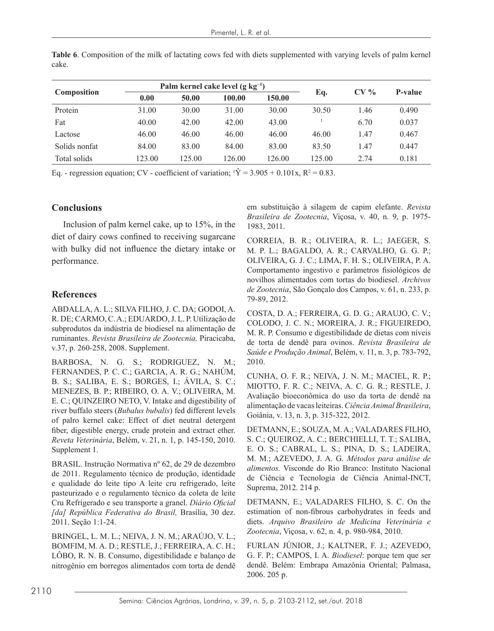|       |  |  | <b>Table 6.</b> Composition of the milk of lactating cows fed with diets supplemented with varying levels of palm kernel |  |  |  |
|-------|--|--|--------------------------------------------------------------------------------------------------------------------------|--|--|--|
| cake. |  |  |                                                                                                                          |  |  |  |
|       |  |  |                                                                                                                          |  |  |  |

| Composition   |        | Palm kernel cake level $(g \ kg^{-1})$ |        |        | CV <sub>0</sub> | P-value |       |
|---------------|--------|----------------------------------------|--------|--------|-----------------|---------|-------|
|               | 0.00   | 50.00                                  | 100.00 | 150.00 | Eq.             |         |       |
| Protein       | 31.00  | 30.00                                  | 31.00  | 30.00  | 30.50           | 1.46    | 0.490 |
| Fat           | 40.00  | 42.00                                  | 42.00  | 43.00  |                 | 6.70    | 0.037 |
| Lactose       | 46.00  | 46.00                                  | 46.00  | 46.00  | 46.00           | 1.47    | 0.467 |
| Solids nonfat | 84.00  | 83.00                                  | 84.00  | 83.00  | 83.50           | 1.47    | 0.447 |
| Total solids  | 123.00 | 125.00                                 | 126.00 | 126.00 | 125.00          | 2.74    | 0.181 |

Eq. - regression equation; CV - coefficient of variation;  $Y = 3.905 + 0.101x$ ,  $R^2 = 0.83$ .

## **Conclusions**

Inclusion of palm kernel cake, up to 15%, in the diet of dairy cows confined to receiving sugarcane with bulky did not influence the dietary intake or performance.

## **References**

ABDALLA, A. L.; SILVA FILHO, J. C. DA; GODOI, A. R. DE; CARMO, C. A.; EDUARDO, J. L. P. Utilização de subprodutos da indústria de biodiesel na alimentação de ruminantes. *Revista Brasileira de Zootecnia,* Piracicaba, v.37, p. 260-258, 2008. Supplement.

BARBOSA, N. G. S.; RODRIGUEZ, N. M.; FERNANDES, P. C. C.; GARCIA, A. R. G.; NAHÚM, B. S.; SALIBA, E. S.; BORGES, I.; ÁVILA, S. C.; MENEZES, B. P.; RIBEIRO, O. A. V.; OLIVEIRA, M. E. C.; QUINZEIRO NETO, V. Intake and digestibility of river buffalo steers (*Bubalus bubalis*) fed different levels of palro kernel cake: Effect of diet neutral detergent fiber, digestible energy, crude protein and extract ether. *Reveta Veterinária*, Belém, v. 21, n. 1, p. 145-150, 2010. Supplement 1.

BRASIL. Instrução Normativa nº 62, de 29 de dezembro de 2011. Regulamento técnico de produção, identidade e qualidade do leite tipo A leite cru refrigerado, leite pasteurizado e o regulamento técnico da coleta de leite Cru Refrigerado e seu transporte a granel. *Diário Oficial [da] República Federativa do Brasil,* Brasília, 30 dez. 2011. Seção 1:1-24.

BRINGEL, L. M. L.; NEIVA, J. N. M.; ARAÚJO, V. L.; BOMFIM, M. A. D.; RESTLE, J.; FERREIRA, A. C. H.; LÔBO, R. N. B. Consumo, digestibilidade e balanço de nitrogênio em borregos alimentados com torta de dendê em substituição à silagem de capim elefante. *Revista Brasileira de Zootecnia*, Viçosa, v. 40, n. 9, p. 1975- 1983, 2011.

CORREIA, B. R.; OLIVEIRA, R. L.; JAEGER, S. M. P. L.; BAGALDO, A. R.; CARVALHO, G. G. P.; OLIVEIRA, G. J. C.; LIMA, F. H. S.; OLIVEIRA, P. A. Comportamento ingestivo e parâmetros fisiológicos de novilhos alimentados com tortas do biodiesel. *Archivos de Zootecnia*, São Gonçalo dos Campos, v. 61, n. 233, p. 79-89, 2012.

COSTA, D. A.; FERREIRA, G. D. G.; ARAUJO, C. V.; COLODO, J. C. N.; MOREIRA, J. R.; FIGUEIREDO, M. R. P. Consumo e digestibilidade de dietas com níveis de torta de dendê para ovinos. *Revista Brasileira de Saúde e Produção Animal*, Belém, v. 11, n. 3, p. 783-792, 2010.

CUNHA, O. F. R.; NEIVA, J. N. M.; MACIEL, R. P.; MIOTTO, F. R. C.; NEIVA, A. C. G. R.; RESTLE, J. Avaliação bioeconômica do uso da torta de dendê na alimentação de vacas leiteiras. *Ciência Animal Brasileira*, Goiânia, v. 13, n. 3, p. 315-322, 2012.

DETMANN, E.; SOUZA, M. A.; VALADARES FILHO, S. C.; QUEIROZ, A. C.; BERCHIELLI, T. T.; SALIBA, E. O. S.; CABRAL, L. S.; PINA, D. S.; LADEIRA, M. M.; AZEVEDO, J. A. G. *Métodos para análise de alimentos.* Visconde do Rio Branco: Instituto Nacional de Ciência e Tecnologia de Ciência Animal-INCT, Suprema, 2012. 214 p.

DETMANN, E.; VALADARES FILHO, S. C. On the estimation of non-fibrous carbohydrates in feeds and diets. *Arquivo Brasileiro de Medicina Veterinária e Zootecnia*, Viçosa, v. 62, n. 4, p. 980-984, 2010.

FURLAN JÚNIOR, J.; KALTNER, F. J.; AZEVEDO, G. F. P.; CAMPOS, I. A. *Biodiesel*: porque tem que ser dendê. Belém: Embrapa Amazônia Oriental; Palmasa, 2006. 205 p.